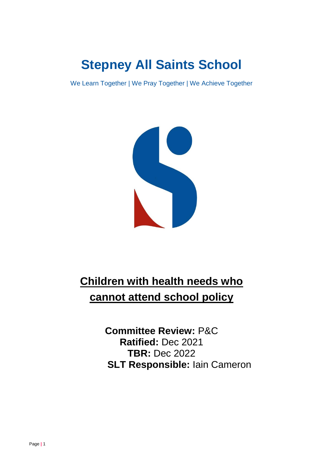# **Stepney All Saints School**

We Learn Together | We Pray Together | We Achieve Together



## **Children with health needs who cannot attend school policy**

**Committee Review:** P&C **Ratified:** Dec 2021 **TBR:** Dec 2022 **SLT Responsible:** Iain Cameron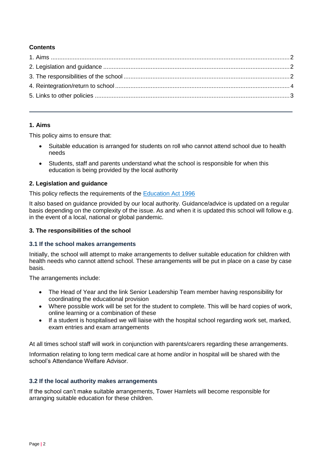### **Contents**

#### <span id="page-1-0"></span>**1. Aims**

This policy aims to ensure that:

- Suitable education is arranged for students on roll who cannot attend school due to health needs
- Students, staff and parents understand what the school is responsible for when this education is being provided by the local authority

#### <span id="page-1-1"></span>**2. Legislation and guidance**

This policy reflects the requirements of the [Education Act 1996](http://www.legislation.gov.uk/ukpga/1996/56/section/19)

It also based on guidance provided by our local authority. Guidance/advice is updated on a regular basis depending on the complexity of the issue. As and when it is updated this school will follow e.g. in the event of a local, national or global pandemic.

#### <span id="page-1-2"></span>**3. The responsibilities of the school**

#### **3.1 If the school makes arrangements**

Initially, the school will attempt to make arrangements to deliver suitable education for children with health needs who cannot attend school. These arrangements will be put in place on a case by case basis.

The arrangements include:

- The Head of Year and the link Senior Leadership Team member having responsibility for coordinating the educational provision
- Where possible work will be set for the student to complete. This will be hard copies of work, online learning or a combination of these
- If a student is hospitalised we will liaise with the hospital school regarding work set, marked, exam entries and exam arrangements

At all times school staff will work in conjunction with parents/carers regarding these arrangements. Information relating to long term medical care at home and/or in hospital will be shared with the school's Attendance Welfare Advisor.

#### **3.2 If the local authority makes arrangements**

If the school can't make suitable arrangements, Tower Hamlets will become responsible for arranging suitable education for these children.